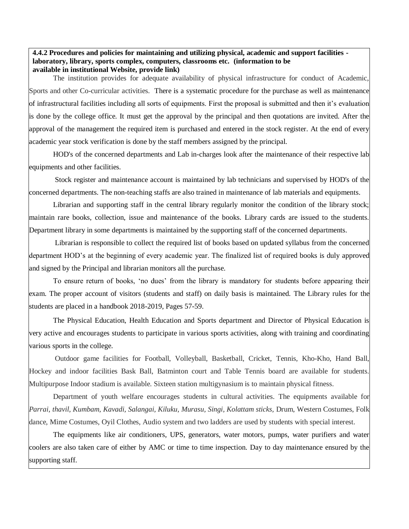## **4.4.2 Procedures and policies for maintaining and utilizing physical, academic and support facilities laboratory, library, sports complex, computers, classrooms etc. (information to be available in institutional Website, provide link)**

The institution provides for adequate availability of physical infrastructure for conduct of Academic, Sports and other Co-curricular activities. There is a systematic procedure for the purchase as well as maintenance of infrastructural facilities including all sorts of equipments. First the proposal is submitted and then it's evaluation is done by the college office. It must get the approval by the principal and then quotations are invited. After the approval of the management the required item is purchased and entered in the stock register. At the end of every academic year stock verification is done by the staff members assigned by the principal.

HOD's of the concerned departments and Lab in-charges look after the maintenance of their respective lab equipments and other facilities.

Stock register and maintenance account is maintained by lab technicians and supervised by HOD's of the concerned departments. The non-teaching staffs are also trained in maintenance of lab materials and equipments.

Librarian and supporting staff in the central library regularly monitor the condition of the library stock; maintain rare books, collection, issue and maintenance of the books. Library cards are issued to the students. Department library in some departments is maintained by the supporting staff of the concerned departments.

Librarian is responsible to collect the required list of books based on updated syllabus from the concerned department HOD's at the beginning of every academic year. The finalized list of required books is duly approved and signed by the Principal and librarian monitors all the purchase.

To ensure return of books, 'no dues' from the library is mandatory for students before appearing their exam. The proper account of visitors (students and staff) on daily basis is maintained. The Library rules for the students are placed in a handbook 2018-2019, Pages 57-59.

The Physical Education, Health Education and Sports department and Director of Physical Education is very active and encourages students to participate in various sports activities, along with training and coordinating various sports in the college.

Outdoor game facilities for Football, Volleyball, Basketball, Cricket, Tennis, Kho-Kho, Hand Ball, Hockey and indoor facilities Bask Ball, Batminton court and Table Tennis board are available for students. Multipurpose Indoor stadium is available. Sixteen station multigynasium is to maintain physical fitness.

Department of youth welfare encourages students in cultural activities. The equipments available for *Parrai, thavil, Kumbam, Kavadi, Salangai, Kiluku, Murasu, Singi, Kolattam sticks,* Drum, Western Costumes, Folk dance, Mime Costumes, Oyil Clothes, Audio system and two ladders are used by students with special interest.

The equipments like air conditioners, UPS, generators, water motors, pumps, water purifiers and water coolers are also taken care of either by AMC or time to time inspection. Day to day maintenance ensured by the supporting staff.